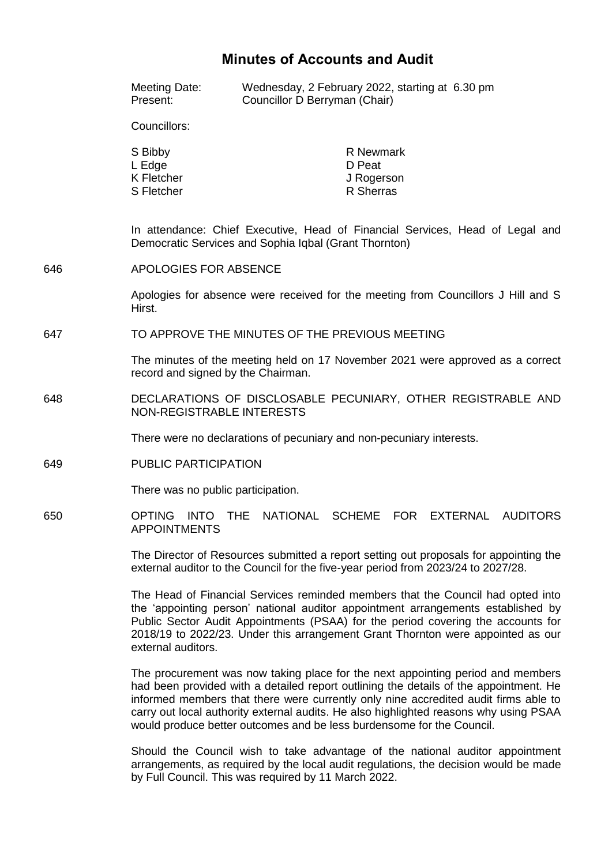# **Minutes of Accounts and Audit**

|     | <b>Meeting Date:</b><br>Present:                                                                                                                                           | Wednesday, 2 February 2022, starting at 6.30 pm<br>Councillor D Berryman (Chair) |                                                |  |                 |
|-----|----------------------------------------------------------------------------------------------------------------------------------------------------------------------------|----------------------------------------------------------------------------------|------------------------------------------------|--|-----------------|
|     | Councillors:                                                                                                                                                               |                                                                                  |                                                |  |                 |
|     | S Bibby<br>L Edge<br>K Fletcher<br>S Fletcher                                                                                                                              |                                                                                  | R Newmark<br>D Peat<br>J Rogerson<br>R Sherras |  |                 |
|     | In attendance: Chief Executive, Head of Financial Services, Head of Legal and<br>Democratic Services and Sophia Iqbal (Grant Thornton)                                     |                                                                                  |                                                |  |                 |
| 646 | APOLOGIES FOR ABSENCE                                                                                                                                                      |                                                                                  |                                                |  |                 |
|     | Apologies for absence were received for the meeting from Councillors J Hill and S<br>Hirst.                                                                                |                                                                                  |                                                |  |                 |
| 647 | TO APPROVE THE MINUTES OF THE PREVIOUS MEETING<br>The minutes of the meeting held on 17 November 2021 were approved as a correct<br>record and signed by the Chairman.     |                                                                                  |                                                |  |                 |
|     |                                                                                                                                                                            |                                                                                  |                                                |  |                 |
| 648 | DECLARATIONS OF DISCLOSABLE PECUNIARY, OTHER REGISTRABLE AND<br>NON-REGISTRABLE INTERESTS                                                                                  |                                                                                  |                                                |  |                 |
|     | There were no declarations of pecuniary and non-pecuniary interests.                                                                                                       |                                                                                  |                                                |  |                 |
| 649 | <b>PUBLIC PARTICIPATION</b>                                                                                                                                                |                                                                                  |                                                |  |                 |
|     | There was no public participation.                                                                                                                                         |                                                                                  |                                                |  |                 |
| 650 | <b>OPTING</b><br><b>INTO</b><br><b>THE</b><br><b>APPOINTMENTS</b>                                                                                                          |                                                                                  | NATIONAL SCHEME FOR EXTERNAL                   |  | <b>AUDITORS</b> |
|     | The Director of Resources submitted a report setting out proposals for appointing the<br>external auditor to the Council for the five-year period from 2023/24 to 2027/28. |                                                                                  |                                                |  |                 |
|     | The Head of Financial Services reminded members that the Council had opted into                                                                                            |                                                                                  |                                                |  |                 |

the 'appointing person' national auditor appointment arrangements established by Public Sector Audit Appointments (PSAA) for the period covering the accounts for 2018/19 to 2022/23. Under this arrangement Grant Thornton were appointed as our external auditors.

The procurement was now taking place for the next appointing period and members had been provided with a detailed report outlining the details of the appointment. He informed members that there were currently only nine accredited audit firms able to carry out local authority external audits. He also highlighted reasons why using PSAA would produce better outcomes and be less burdensome for the Council.

Should the Council wish to take advantage of the national auditor appointment arrangements, as required by the local audit regulations, the decision would be made by Full Council. This was required by 11 March 2022.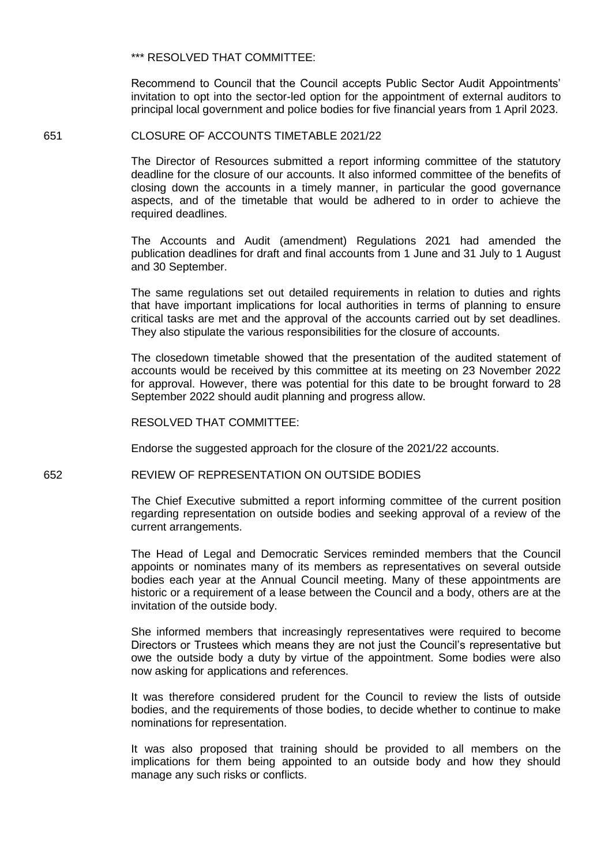\*\*\* RESOLVED THAT COMMITTEE:

Recommend to Council that the Council accepts Public Sector Audit Appointments' invitation to opt into the sector-led option for the appointment of external auditors to principal local government and police bodies for five financial years from 1 April 2023.

#### 651 CLOSURE OF ACCOUNTS TIMETABLE 2021/22

The Director of Resources submitted a report informing committee of the statutory deadline for the closure of our accounts. It also informed committee of the benefits of closing down the accounts in a timely manner, in particular the good governance aspects, and of the timetable that would be adhered to in order to achieve the required deadlines.

The Accounts and Audit (amendment) Regulations 2021 had amended the publication deadlines for draft and final accounts from 1 June and 31 July to 1 August and 30 September.

The same regulations set out detailed requirements in relation to duties and rights that have important implications for local authorities in terms of planning to ensure critical tasks are met and the approval of the accounts carried out by set deadlines. They also stipulate the various responsibilities for the closure of accounts.

The closedown timetable showed that the presentation of the audited statement of accounts would be received by this committee at its meeting on 23 November 2022 for approval. However, there was potential for this date to be brought forward to 28 September 2022 should audit planning and progress allow.

RESOLVED THAT COMMITTEE:

Endorse the suggested approach for the closure of the 2021/22 accounts.

#### 652 REVIEW OF REPRESENTATION ON OUTSIDE BODIES

The Chief Executive submitted a report informing committee of the current position regarding representation on outside bodies and seeking approval of a review of the current arrangements.

The Head of Legal and Democratic Services reminded members that the Council appoints or nominates many of its members as representatives on several outside bodies each year at the Annual Council meeting. Many of these appointments are historic or a requirement of a lease between the Council and a body, others are at the invitation of the outside body.

She informed members that increasingly representatives were required to become Directors or Trustees which means they are not just the Council's representative but owe the outside body a duty by virtue of the appointment. Some bodies were also now asking for applications and references.

It was therefore considered prudent for the Council to review the lists of outside bodies, and the requirements of those bodies, to decide whether to continue to make nominations for representation.

It was also proposed that training should be provided to all members on the implications for them being appointed to an outside body and how they should manage any such risks or conflicts.